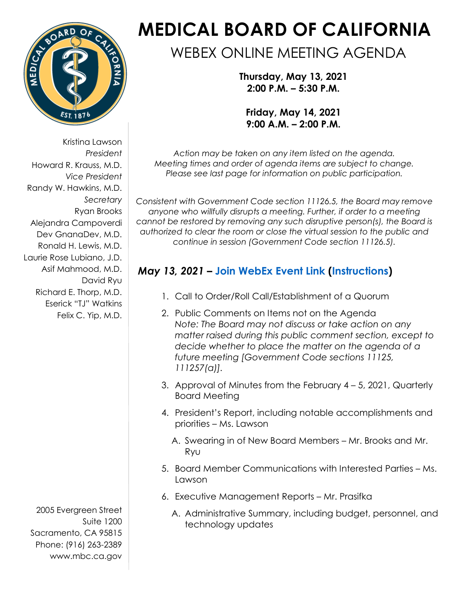

Kristina Lawson *President*  Howard R. Krauss, M.D. *Vice President*  Randy W. Hawkins, M.D. *Secretary*  Ryan Brooks Alejandra Campoverdi Dev GnanaDev, M.D. Ronald H. Lewis, M.D. Laurie Rose Lubiano, J.D. Asif Mahmood, M.D. David Ryu Richard E. Thorp, M.D. Eserick "TJ" Watkins Felix C. Yip, M.D.

2005 Evergreen Street Suite 1200 Sacramento, CA 95815 Phone: (916) 263-2389 [www.mbc.ca.gov](http://www.mbc.ca.gov/) 

# **MEDICAL BOARD OF CALIFORNIA**

# WEBEX ONLINE MEETING AGENDA

**Thursday, May 13, 2021 2:00 P.M. – 5:30 P.M.** 

**Friday, May 14, 2021 9:00 A.M. – 2:00 P.M.** 

*Action may be taken on any item listed on the agenda. Meeting times and order of agenda items are subject to change. Please see last page for information on public participation.* 

*Consistent with Government Code section 11126.5, the Board may remove anyone who willfully disrupts a meeting. Further, if order to a meeting cannot be restored by removing any such disruptive person(s), the Board is authorized to clear the room or close the virtual session to the public and continue in session (Government Code section 11126.5).* 

## *May 13, 2021* **– [Join WebEx Event Link](https://dca-meetings.webex.com/dca-meetings/onstage/g.php?MTID=eecbb830cbaad92cab6adf01e2f764736) [\(Instructions\)](https://www.mbc.ca.gov/Download/User-Guides/HowToJoinAWebExEvent.pdf)**

- 1. Call to Order/Roll Call/Establishment of a Quorum
- 2. Public Comments on Items not on the Agenda *Note: The Board may not discuss or take action on any matter raised during this public comment section, except to decide whether to place the matter on the agenda of a future meeting [Government Code sections 11125, 111257(a)].*
- 3. Approval of Minutes from the February 4 5, 2021, Quarterly Board Meeting
- 4. President's Report, including notable accomplishments and priorities – Ms. Lawson
	- A. Swearing in of New Board Members Mr. Brooks and Mr. Ryu
- 5. Board Member Communications with Interested Parties Ms. Lawson
- 6. Executive Management Reports Mr. Prasifka
	- A. Administrative Summary, including budget, personnel, and technology updates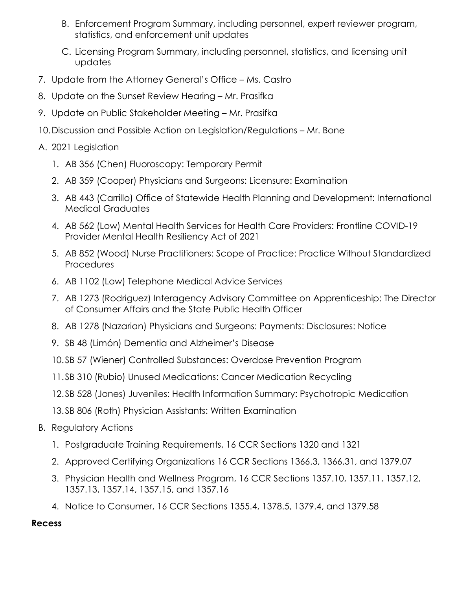- B. Enforcement Program Summary, including personnel, expert reviewer program, statistics, and enforcement unit updates
- C. Licensing Program Summary, including personnel, statistics, and licensing unit updates
- 7. Update from the Attorney General's Office Ms. Castro
- 8. Update on the Sunset Review Hearing Mr. Prasifka
- 9. Update on Public Stakeholder Meeting Mr. Prasifka
- 10.Discussion and Possible Action on Legislation/Regulations Mr. Bone
- A. 2021 Legislation
	- 1. AB 356 (Chen) Fluoroscopy: Temporary Permit
	- 2. AB 359 (Cooper) Physicians and Surgeons: Licensure: Examination
	- 3. AB 443 (Carrillo) Office of Statewide Health Planning and Development: International Medical Graduates
	- 4. AB 562 (Low) Mental Health Services for Health Care Providers: Frontline COVID-19 Provider Mental Health Resiliency Act of 2021
	- 5. AB 852 (Wood) Nurse Practitioners: Scope of Practice: Practice Without Standardized **Procedures**
	- 6. AB 1102 (Low) Telephone Medical Advice Services
	- 7. AB 1273 (Rodriguez) Interagency Advisory Committee on Apprenticeship: The Director of Consumer Affairs and the State Public Health Officer
	- 8. AB 1278 (Nazarian) Physicians and Surgeons: Payments: Disclosures: Notice
	- 9. SB 48 (Limón) Dementia and Alzheimer's Disease
	- 10.SB 57 (Wiener) Controlled Substances: Overdose Prevention Program
	- 11.SB 310 (Rubio) Unused Medications: Cancer Medication Recycling
	- 12.SB 528 (Jones) Juveniles: Health Information Summary: Psychotropic Medication
	- 13.SB 806 (Roth) Physician Assistants: Written Examination
- B. Regulatory Actions
	- 1. Postgraduate Training Requirements, 16 CCR Sections 1320 and 1321
	- 2. Approved Certifying Organizations 16 CCR Sections 1366.3, 1366.31, and 1379.07
	- 3. Physician Health and Wellness Program, 16 CCR Sections 1357.10, 1357.11, 1357.12, 1357.13, 1357.14, 1357.15, and 1357.16
	- 4. Notice to Consumer, 16 CCR Sections 1355.4, 1378.5, 1379.4, and 1379.58

**Recess**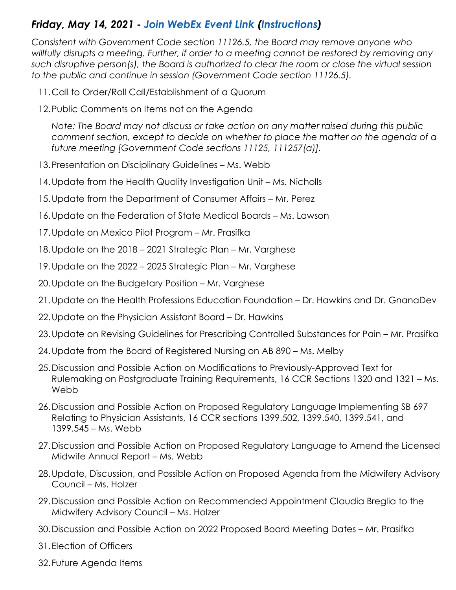### *Friday, May 14, 2021 - [Join WebEx Event Link](https://dca-meetings.webex.com/dca-meetings/onstage/g.php?MTID=e541a597623d87c4f9acfdf2f4ac7f8b0) [\(Instructions\)](https://www.mbc.ca.gov/Download/User-Guides/HowToJoinAWebExEvent.pdf)*

*Consistent with Government Code section 11126.5, the Board may remove anyone who willfully disrupts a meeting. Further, if order to a meeting cannot be restored by removing any such disruptive person(s), the Board is authorized to clear the room or close the virtual session to the public and continue in session (Government Code section 11126.5).* 

- 11.Call to Order/Roll Call/Establishment of a Quorum
- 12.Public Comments on Items not on the Agenda

 *Note: The Board may not discuss or take action on any matter raised during this public comment section, except to decide on whether to place the matter on the agenda of a future meeting [Government Code sections 11125, 111257(a)].* 

- 13.Presentation on Disciplinary Guidelines Ms. Webb
- 14.Update from the Health Quality Investigation Unit Ms. Nicholls
- 15.Update from the Department of Consumer Affairs Mr. Perez
- 16.Update on the Federation of State Medical Boards Ms. Lawson
- 17.Update on Mexico Pilot Program Mr. Prasifka
- 18.Update on the 2018 2021 Strategic Plan Mr. Varghese
- 19.Update on the 2022 2025 Strategic Plan Mr. Varghese
- 20.Update on the Budgetary Position Mr. Varghese
- 21.Update on the Health Professions Education Foundation Dr. Hawkins and Dr. GnanaDev
- 22.Update on the Physician Assistant Board Dr. Hawkins
- 23.Update on Revising Guidelines for Prescribing Controlled Substances for Pain Mr. Prasifka
- 24.Update from the Board of Registered Nursing on AB 890 Ms. Melby
- 25.Discussion and Possible Action on Modifications to Previously-Approved Text for Rulemaking on Postgraduate Training Requirements, 16 CCR Sections 1320 and 1321 – Ms. **Webb**
- 26.Discussion and Possible Action on Proposed Regulatory Language Implementing SB 697 Relating to Physician Assistants, 16 CCR sections 1399.502, 1399.540, 1399.541, and 1399.545 – Ms. Webb
- 27.Discussion and Possible Action on Proposed Regulatory Language to Amend the Licensed Midwife Annual Report – Ms. Webb
- 28.Update, Discussion, and Possible Action on Proposed Agenda from the Midwifery Advisory Council – Ms. Holzer
- Midwifery Advisory Council Ms. Holzer 29.Discussion and Possible Action on Recommended Appointment Claudia Breglia to the
- 30.Discussion and Possible Action on 2022 Proposed Board Meeting Dates Mr. Prasifka
- 31.Election of Officers
- 32.Future Agenda Items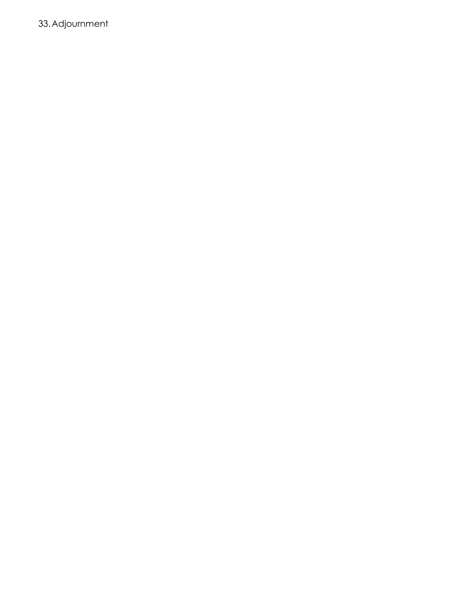33.Adjournment